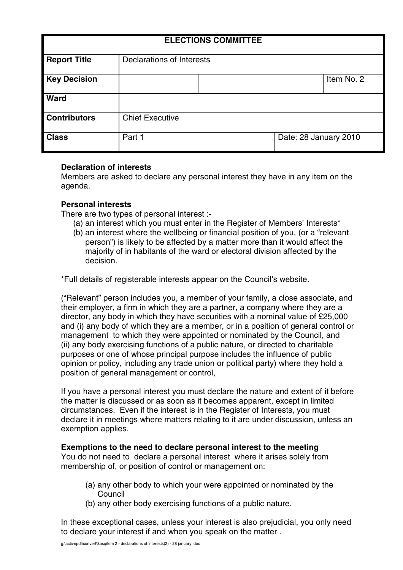| <b>ELECTIONS COMMITTEE</b> |                                  |  |                       |            |
|----------------------------|----------------------------------|--|-----------------------|------------|
| <b>Report Title</b>        | <b>Declarations of Interests</b> |  |                       |            |
| <b>Key Decision</b>        |                                  |  |                       | Item No. 2 |
| <b>Ward</b>                |                                  |  |                       |            |
| <b>Contributors</b>        | <b>Chief Executive</b>           |  |                       |            |
| <b>Class</b>               | Part 1                           |  | Date: 28 January 2010 |            |

## **Declaration of interests**

Members are asked to declare any personal interest they have in any item on the agenda.

# **Personal interests**

There are two types of personal interest :-

- (a) an interest which you must enter in the Register of Members' Interests\*
- (b) an interest where the wellbeing or financial position of you, (or a "relevant person") is likely to be affected by a matter more than it would affect the majority of in habitants of the ward or electoral division affected by the decision.

\*Full details of registerable interests appear on the Council's website.

("Relevant" person includes you, a member of your family, a close associate, and their employer, a firm in which they are a partner, a company where they are a director, any body in which they have securities with a nominal value of £25,000 and (i) any body of which they are a member, or in a position of general control or management to which they were appointed or nominated by the Council, and (ii) any body exercising functions of a public nature, or directed to charitable purposes or one of whose principal purpose includes the influence of public opinion or policy, including any trade union or political party) where they hold a position of general management or control,

If you have a personal interest you must declare the nature and extent of it before the matter is discussed or as soon as it becomes apparent, except in limited circumstances. Even if the interest is in the Register of Interests, you must declare it in meetings where matters relating to it are under discussion, unless an exemption applies.

## **Exemptions to the need to declare personal interest to the meeting**

You do not need to declare a personal interest where it arises solely from membership of, or position of control or management on:

- (a) any other body to which your were appointed or nominated by the Council
- (b) any other body exercising functions of a public nature.

In these exceptional cases, unless your interest is also prejudicial, you only need to declare your interest if and when you speak on the matter .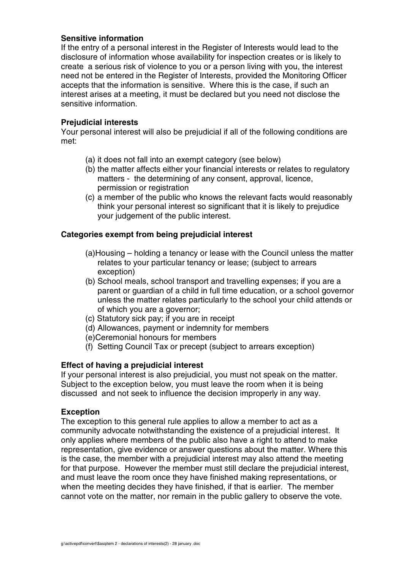## **Sensitive information**

If the entry of a personal interest in the Register of Interests would lead to the disclosure of information whose availability for inspection creates or is likely to create a serious risk of violence to you or a person living with you, the interest need not be entered in the Register of Interests, provided the Monitoring Officer accepts that the information is sensitive. Where this is the case, if such an interest arises at a meeting, it must be declared but you need not disclose the sensitive information.

### **Prejudicial interests**

Your personal interest will also be prejudicial if all of the following conditions are met:

- (a) it does not fall into an exempt category (see below)
- (b) the matter affects either your financial interests or relates to regulatory matters - the determining of any consent, approval, licence, permission or registration
- (c) a member of the public who knows the relevant facts would reasonably think your personal interest so significant that it is likely to prejudice your judgement of the public interest.

## **Categories exempt from being prejudicial interest**

- (a)Housing holding a tenancy or lease with the Council unless the matter relates to your particular tenancy or lease; (subject to arrears exception)
- (b) School meals, school transport and travelling expenses; if you are a parent or guardian of a child in full time education, or a school governor unless the matter relates particularly to the school your child attends or of which you are a governor;
- (c) Statutory sick pay; if you are in receipt
- (d) Allowances, payment or indemnity for members
- (e)Ceremonial honours for members
- (f) Setting Council Tax or precept (subject to arrears exception)

## **Effect of having a prejudicial interest**

If your personal interest is also prejudicial, you must not speak on the matter. Subject to the exception below, you must leave the room when it is being discussed and not seek to influence the decision improperly in any way.

#### **Exception**

The exception to this general rule applies to allow a member to act as a community advocate notwithstanding the existence of a prejudicial interest. It only applies where members of the public also have a right to attend to make representation, give evidence or answer questions about the matter. Where this is the case, the member with a prejudicial interest may also attend the meeting for that purpose. However the member must still declare the prejudicial interest, and must leave the room once they have finished making representations, or when the meeting decides they have finished, if that is earlier. The member cannot vote on the matter, nor remain in the public gallery to observe the vote.